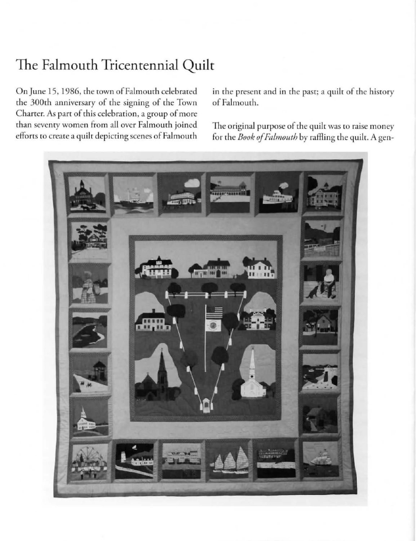## The Falmouth Tricentennial Quilt

On June 15, 1986, the town of Falmouth celebrated the 300th anniversary of the signing of the Town Charter. As part of this celebration, a group of more **than sevenry women from all over Falmouth joined**  efforts to create a quilt depicting scenes of Falmouth in the present and in the past; a quilt of the history of Falmouth.

The original purpose of the quilt was to raise money for the *Book of Falmouth* by raffling the quilt. A gen-